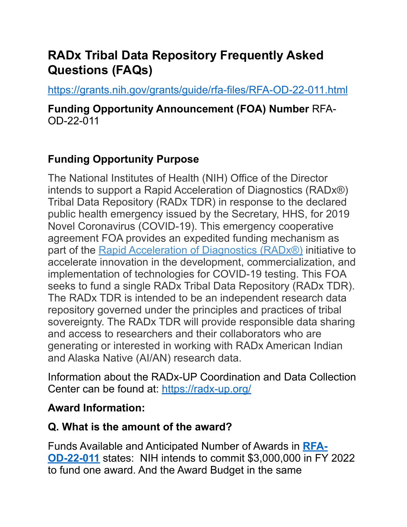# **RADx Tribal Data Repository Frequently Asked Questions (FAQs)**

<https://grants.nih.gov/grants/guide/rfa-files/RFA-OD-22-011.html>

**Funding Opportunity Announcement (FOA) Number** RFA-OD-22-011

## **Funding Opportunity Purpose**

The National Institutes of Health (NIH) Office of the Director intends to support a Rapid Acceleration of Diagnostics (RADx®) Tribal Data Repository (RADx TDR) in response to the declared public health emergency issued by the Secretary, HHS, for 2019 Novel Coronavirus (COVID-19). This emergency cooperative agreement FOA provides an expedited funding mechanism as part of the [Rapid Acceleration of Diagnostics \(RADx®\)](https://www.nih.gov/research-training/medical-research-initiatives/radx) initiative to accelerate innovation in the development, commercialization, and implementation of technologies for COVID-19 testing. This FOA seeks to fund a single RADx Tribal Data Repository (RADx TDR). The RADx TDR is intended to be an independent research data repository governed under the principles and practices of tribal sovereignty. The RADx TDR will provide responsible data sharing and access to researchers and their collaborators who are generating or interested in working with RADx American Indian and Alaska Native (AI/AN) research data.

Information about the RADx-UP Coordination and Data Collection Center can be found at: <https://radx-up.org/>

### **Award Information:**

## **Q. What is the amount of the award?**

Funds Available and Anticipated Number of Awards in **[RFA-](https://grants.nih.gov/grants/guide/rfa-files/RFA-OD-22-011.html)[OD-22-011](https://grants.nih.gov/grants/guide/rfa-files/RFA-OD-22-011.html)** states: NIH intends to commit \$3,000,000 in FY 2022 to fund one award. And the Award Budget in the same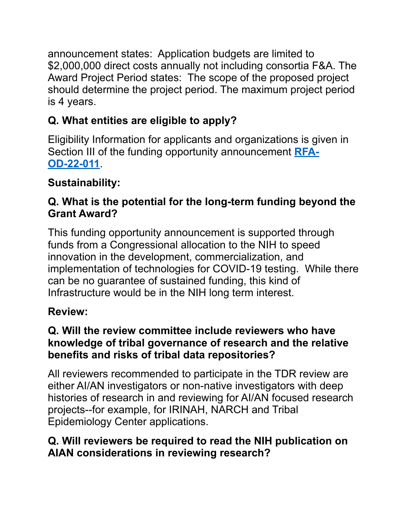announcement states: Application budgets are limited to \$2,000,000 direct costs annually not including consortia F&A. The Award Project Period states: The scope of the proposed project should determine the project period. The maximum project period is 4 years.

# **Q. What entities are eligible to apply?**

Eligibility Information for applicants and organizations is given in Section III of the funding opportunity announcement **[RFA-](https://grants.nih.gov/grants/guide/rfa-files/RFA-OD-22-011.html)[OD-22-011](https://grants.nih.gov/grants/guide/rfa-files/RFA-OD-22-011.html)**.

# **Sustainability:**

## **Q. What is the potential for the long-term funding beyond the Grant Award?**

This funding opportunity announcement is supported through funds from a Congressional allocation to the NIH to speed innovation in the development, commercialization, and implementation of technologies for COVID-19 testing. While there can be no guarantee of sustained funding, this kind of Infrastructure would be in the NIH long term interest.

## **Review:**

### **Q. Will the review committee include reviewers who have knowledge of tribal governance of research and the relative benefits and risks of tribal data repositories?**

All reviewers recommended to participate in the TDR review are either AI/AN investigators or non-native investigators with deep histories of research in and reviewing for AI/AN focused research projects--for example, for IRINAH, NARCH and Tribal Epidemiology Center applications.

## **Q. Will reviewers be required to read the NIH publication on AIAN considerations in reviewing research?**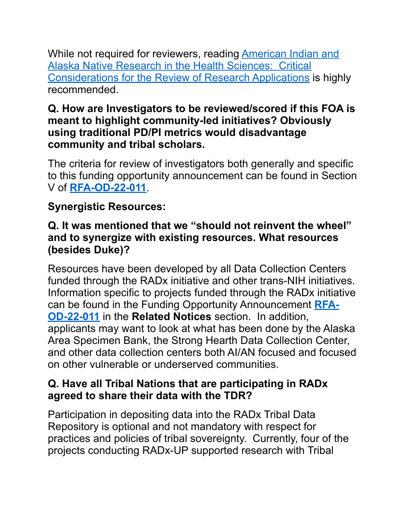While not required for reviewers, reading **American Indian and** [Alaska Native Research in the Health Sciences: Critical](https://dpcpsi.nih.gov/sites/default/files/Critical_Considerations_for_Reviewing_AIAN_Research_508.pdf) [Considerations for the Review of Research Applications](https://dpcpsi.nih.gov/sites/default/files/Critical_Considerations_for_Reviewing_AIAN_Research_508.pdf) is highly recommended.

### **Q. How are Investigators to be reviewed/scored if this FOA is meant to highlight community-led initiatives? Obviously using traditional PD/PI metrics would disadvantage community and tribal scholars.**

The criteria for review of investigators both generally and specific to this funding opportunity announcement can be found in Section V of **[RFA-OD-22-011](https://grants.nih.gov/grants/guide/rfa-files/RFA-OD-22-011.html)**.

## **Synergistic Resources:**

#### **Q. It was mentioned that we "should not reinvent the wheel" and to synergize with existing resources. What resources (besides Duke)?**

Resources have been developed by all Data Collection Centers funded through the RADx initiative and other trans-NIH initiatives. Information specific to projects funded through the RADx initiative can be found in the Funding Opportunity Announcement **[RFA-](https://grants.nih.gov/grants/guide/rfa-files/RFA-OD-22-011.html)[OD-22-011](https://grants.nih.gov/grants/guide/rfa-files/RFA-OD-22-011.html)** in the **Related Notices** section. In addition, applicants may want to look at what has been done by the Alaska Area Specimen Bank, the Strong Hearth Data Collection Center, and other data collection centers both AI/AN focused and focused on other vulnerable or underserved communities.

#### **Q. Have all Tribal Nations that are participating in RADx agreed to share their data with the TDR?**

Participation in depositing data into the RADx Tribal Data Repository is optional and not mandatory with respect for practices and policies of tribal sovereignty. Currently, four of the projects conducting RADx-UP supported research with Tribal